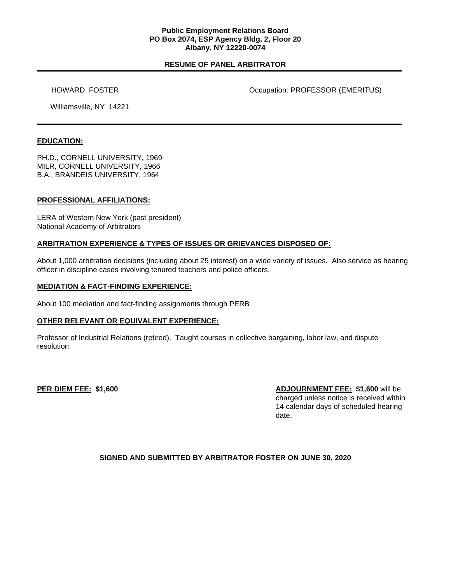### **Public Employment Relations Board PO Box 2074, ESP Agency Bldg. 2, Floor 20 Albany, NY 12220-0074**

# **RESUME OF PANEL ARBITRATOR**

HOWARD FOSTER **Occupation: PROFESSOR (EMERITUS)** 

Williamsville, NY 14221

### **EDUCATION:**

PH.D., CORNELL UNIVERSITY, 1969 MILR, CORNELL UNIVERSITY, 1966 B.A., BRANDEIS UNIVERSITY, 1964

#### **PROFESSIONAL AFFILIATIONS:**

LERA of Western New York (past president) National Academy of Arbitrators

### **ARBITRATION EXPERIENCE & TYPES OF ISSUES OR GRIEVANCES DISPOSED OF:**

About 1,000 arbitration decisions (including about 25 interest) on a wide variety of issues. Also service as hearing officer in discipline cases involving tenured teachers and police officers.

#### **MEDIATION & FACT-FINDING EXPERIENCE:**

About 100 mediation and fact-finding assignments through PERB

### **OTHER RELEVANT OR EQUIVALENT EXPERIENCE:**

Professor of Industrial Relations (retired). Taught courses in collective bargaining, labor law, and dispute resolution.

**PER DIEM FEE: \$1,600 ADJOURNMENT FEE: \$1,600** will be charged unless notice is received within 14 calendar days of scheduled hearing date.

### **SIGNED AND SUBMITTED BY ARBITRATOR FOSTER ON JUNE 30, 2020**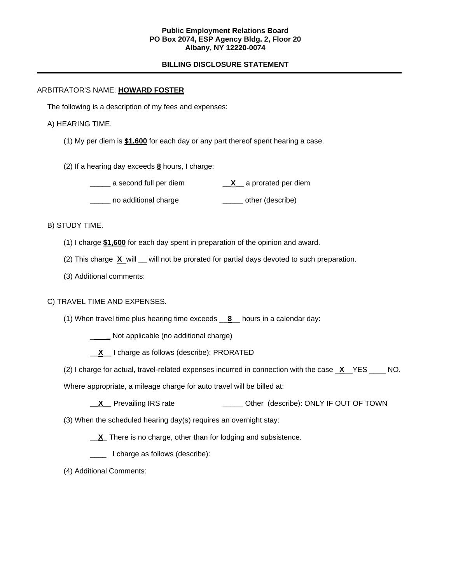### **Public Employment Relations Board PO Box 2074, ESP Agency Bldg. 2, Floor 20 Albany, NY 12220-0074**

# **BILLING DISCLOSURE STATEMENT**

# ARBITRATOR'S NAME: **HOWARD FOSTER**

The following is a description of my fees and expenses:

### A) HEARING TIME.

- (1) My per diem is **\$1,600** for each day or any part thereof spent hearing a case.
- (2) If a hearing day exceeds **8** hours, I charge:

\_\_\_\_\_ no additional charge \_\_\_\_\_ other (describe)

# B) STUDY TIME.

- (1) I charge **\$1,600** for each day spent in preparation of the opinion and award.
- (2) This charge **X** will \_\_ will not be prorated for partial days devoted to such preparation.
- (3) Additional comments:

### C) TRAVEL TIME AND EXPENSES.

- (1) When travel time plus hearing time exceeds \_\_**8**\_\_ hours in a calendar day:
	- \_ **\_** Not applicable (no additional charge)
	- \_\_**X**\_\_ I charge as follows (describe): PRORATED
- (2) I charge for actual, travel-related expenses incurred in connection with the case \_**X**\_\_YES \_\_\_\_ NO.

Where appropriate, a mileage charge for auto travel will be billed at:

- **\_\_X\_\_** Prevailing IRS rate \_\_\_\_\_\_\_\_\_\_\_\_\_\_\_\_ Other (describe): ONLY IF OUT OF TOWN
- (3) When the scheduled hearing day(s) requires an overnight stay:
	- \_\_**X**\_ There is no charge, other than for lodging and subsistence.
	- I charge as follows (describe):
- (4) Additional Comments: